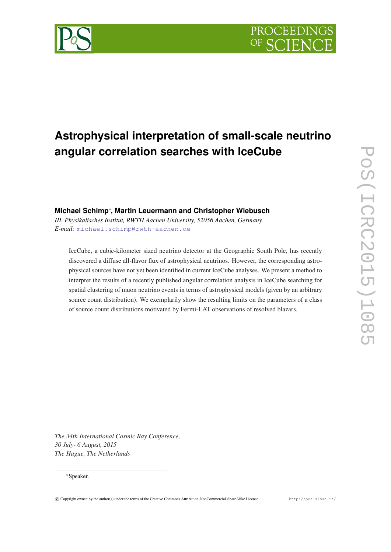



# **Michael Schimp**∗ **, Martin Leuermann and Christopher Wiebusch**

*III. Physikalisches Institut, RWTH Aachen University, 52056 Aachen, Germany E-mail:* [michael.schimp@rwth-aachen.de](mailto:michael.schimp@rwth-aachen.de)

IceCube, a cubic-kilometer sized neutrino detector at the Geographic South Pole, has recently discovered a diffuse all-flavor flux of astrophysical neutrinos. However, the corresponding astrophysical sources have not yet been identified in current IceCube analyses. We present a method to interpret the results of a recently published angular correlation analysis in IceCube searching for spatial clustering of muon neutrino events in terms of astrophysical models (given by an arbitrary source count distribution). We exemplarily show the resulting limits on the parameters of a class of source count distributions motivated by Fermi-LAT observations of resolved blazars.

*The 34th International Cosmic Ray Conference, 30 July- 6 August, 2015 The Hague, The Netherlands*

## ∗Speaker.

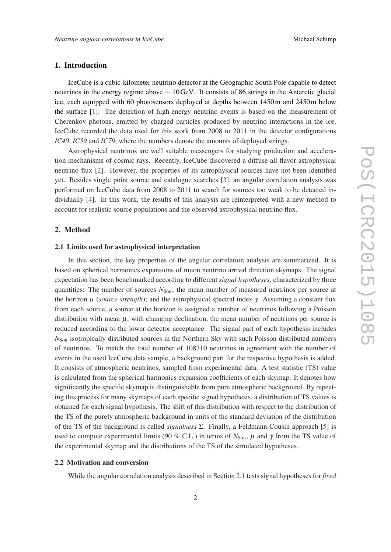## <span id="page-1-0"></span>1. Introduction

IceCube is a cubic-kilometer neutrino detector at the Geographic South Pole capable to detect neutrinos in the energy regime above ∼ 10GeV. It consists of 86 strings in the Antarctic glacial ice, each equipped with 60 photosensors deployed at depths between 1450m and 2450m below the surface [\[1\]](#page-7-0). The detection of high-energy neutrino events is based on the measurement of Cherenkov photons, emitted by charged particles produced by neutrino interactions in the ice. IceCube recorded the data used for this work from 2008 to 2011 in the detector configurations *IC40*, *IC59* and *IC79*, where the numbers denote the amounts of deployed strings.

Astrophysical neutrinos are well suitable messengers for studying production and acceleration mechanisms of cosmic rays. Recently, IceCube discovered a diffuse all-flavor astrophysical neutrino flux [\[2\]](#page-7-0). However, the properties of its astrophysical sources have not been identified yet. Besides single point source and catalogue searches [[3](#page-7-0)], an angular correlation analysis was performed on IceCube data from 2008 to 2011 to search for sources too weak to be detected individually [[4](#page-7-0)]. In this work, the results of this analysis are reinterpreted with a new method to account for realistic source populations and the observed astrophysical neutrino flux.

## 2. Method

### 2.1 Limits used for astrophysical interpretation

In this section, the key properties of the angular correlation analysis are summarized. It is based on spherical harmonics expansions of muon neutrino arrival direction skymaps. The signal expectation has been benchmarked according to different *signal hypotheses*, characterized by three quantities: The number of sources  $N_{\text{Sou}}$ ; the mean number of measured neutrinos per source at the horizon µ (*source strength*); and the astrophysical spectral index γ. Assuming a constant flux from each source, a source at the horizon is assigned a number of neutrinos following a Poisson distribution with mean  $\mu$ ; with changing declination, the mean number of neutrinos per source is reduced according to the lower detector acceptance. The signal part of each hypothesis includes *N*<sub>Sou</sub> isotropically distributed sources in the Northern Sky with such Poisson distributed numbers of neutrinos. To match the total number of 108310 neutrinos in agreement with the number of events in the used IceCube data sample, a background part for the respective hypothesis is added. It consists of atmospheric neutrinos, sampled from experimental data. A test statistic (TS) value is calculated from the spherical harmonics expansion coefficients of each skymap. It denotes how significantly the specific skymap is distinguishable from pure atmospheric background. By repeating this process for many skymaps of each specific signal hypothesis, a distribution of TS values is obtained for each signal hypothesis. The shift of this distribution with respect to the distribution of the TS of the purely atmospheric background in units of the standard deviation of the distribution of the TS of the background is called *signalness* Σ. Finally, a Feldmann-Cousin approach [\[5](#page-7-0)] is used to compute experimental limits (90 % C.L.) in terms of  $N_{\text{Sou}}$ ,  $\mu$  and  $\gamma$  from the TS value of the experimental skymap and the distributions of the TS of the simulated hypotheses.

## 2.2 Motivation and conversion

While the angular correlation analysis described in Section 2.1 tests signal hypotheses for *fixed*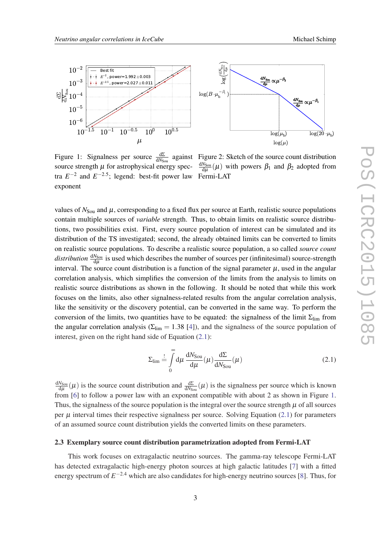<span id="page-2-0"></span>

Figure 1: Signalness per source  $\frac{d\Sigma}{dN_{Soul}}$  against Figure 2: Sketch of the source count distribution source strength  $\mu$  for astrophysical energy spectra  $E^{-2}$  and  $E^{-2.5}$ ; legend: best-fit power law Fermi-LAT exponent

d*N*Sou  $\frac{N_{Soul}}{d\mu}(\mu)$  with powers  $\beta_1$  and  $\beta_2$  adopted from

values of  $N_{\text{Sou}}$  and  $\mu$ , corresponding to a fixed flux per source at Earth, realistic source populations contain multiple sources of *variable* strength. Thus, to obtain limits on realistic source distributions, two possibilities exist. First, every source population of interest can be simulated and its distribution of the TS investigated; second, the already obtained limits can be converted to limits on realistic source populations. To describe a realistic source population, a so called *source count* distribution  $\frac{dN_{Soul}}{d\mu}$  is used which describes the number of sources per (infinitesimal) source-strength interval. The source count distribution is a function of the signal parameter  $\mu$ , used in the angular correlation analysis, which simplifies the conversion of the limits from the analysis to limits on realistic source distributions as shown in the following. It should be noted that while this work focuses on the limits, also other signalness-related results from the angular correlation analysis, like the sensitivity or the discovery potential, can be converted in the same way. To perform the conversion of the limits, two quantities have to be equated: the signalness of the limit  $\Sigma_{\text{lim}}$  from the angular correlation analysis ( $\Sigma_{\text{lim}} = 1.38$  [[4](#page-7-0)]), and the signalness of the source population of interest, given on the right hand side of Equation (2.1):

$$
\Sigma_{\rm lim} \stackrel{!}{=} \int_{0}^{\infty} d\mu \frac{dN_{\rm Sou}}{d\mu}(\mu) \frac{d\Sigma}{dN_{\rm Sou}}(\mu)
$$
 (2.1)

d*N*Sou  $\frac{N_{S_{\text{OU}}}}{d\mu}(\mu)$  is the source count distribution and  $\frac{d\Sigma}{dN_{S_{\text{OU}}}}(\mu)$  is the signalness per source which is known from [[6](#page-7-0)] to follow a power law with an exponent compatible with about 2 as shown in Figure 1. Thus, the signalness of the source population is the integral over the source strength  $\mu$  of all sources per  $\mu$  interval times their respective signalness per source. Solving Equation (2.1) for parameters of an assumed source count distribution yields the converted limits on these parameters.

#### 2.3 Exemplary source count distribution parametrization adopted from Fermi-LAT

This work focuses on extragalactic neutrino sources. The gamma-ray telescope Fermi-LAT has detected extragalactic high-energy photon sources at high galactic latitudes [[7](#page-7-0)] with a fitted energy spectrum of *E* <sup>−</sup>2.<sup>4</sup> which are also candidates for high-energy neutrino sources [\[8\]](#page-7-0). Thus, for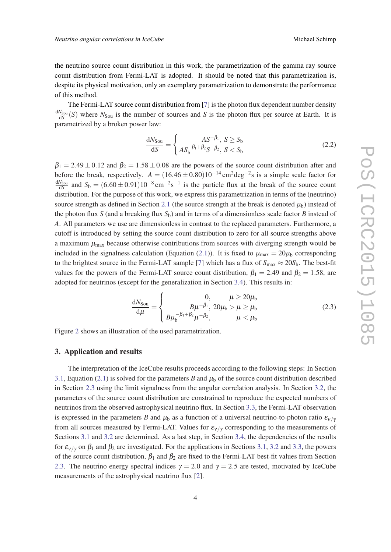<span id="page-3-0"></span>the neutrino source count distribution in this work, the parametrization of the gamma ray source count distribution from Fermi-LAT is adopted. It should be noted that this parametrization is, despite its physical motivation, only an exemplary parametrization to demonstrate the performance of this method.

The Fermi-LAT source count distribution from [[7](#page-7-0)] is the photon flux dependent number density  $\frac{dN_{Soul}}{dS}(S)$  where  $N_{Soul}$  is the number of sources and *S* is the photon flux per source at Earth. It is parametrized by a broken power law:

$$
\frac{dN_{\text{Sou}}}{dS} = \begin{cases} AS^{-\beta_1}, \ S \ge S_b \\ AS_b^{-\beta_1 + \beta_2} S^{-\beta_2}, \ S < S_b \end{cases} \tag{2.2}
$$

 $\beta_1 = 2.49 \pm 0.12$  and  $\beta_2 = 1.58 \pm 0.08$  are the powers of the source count distribution after and before the break, respectively.  $A = (16.46 \pm 0.80)10^{-14} \text{ cm}^2 \text{deg}^{-2} \text{s}$  is a simple scale factor for  $\frac{dN_{Soul}}{dS}$  and  $S_b = (6.60 \pm 0.91)10^{-8}$  cm<sup>-2</sup>s<sup>-1</sup> is the particle flux at the break of the source count distribution. For the purpose of this work, we express this parametrization in terms of the (neutrino) source strength as defined in Section [2.1](#page-1-0) (the source strength at the break is denoted  $\mu_b$ ) instead of the photon flux  $S$  (and a breaking flux  $S<sub>b</sub>$ ) and in terms of a dimensionless scale factor  $B$  instead of *A*. All parameters we use are dimensionless in contrast to the replaced parameters. Furthermore, a cutoff is introduced by setting the source count distribution to zero for all source strengths above a maximum  $\mu_{\text{max}}$  because otherwise contributions from sources with diverging strength would be included in the signalness calculation (Equation ([2.1](#page-2-0))). It is fixed to  $\mu_{\text{max}} = 20\mu_b$  corresponding to the brightest source in the Fermi-LAT sample [[7](#page-7-0)] which has a flux of  $S_{\text{max}} \approx 20S_b$ . The best-fit values for the powers of the Fermi-LAT source count distribution,  $\beta_1 = 2.49$  and  $\beta_2 = 1.58$ , are adopted for neutrinos (except for the generalization in Section [3.4](#page-5-0)). This results in:

$$
\frac{dN_{\text{Sou}}}{d\mu} = \begin{cases}\n0, & \mu \ge 20\mu_{\text{b}} \\
B\mu^{-\beta_1}, 20\mu_{\text{b}} > \mu \ge \mu_{\text{b}} \\
B\mu_{\text{b}}^{-\beta_1 + \beta_2}\mu^{-\beta_2}, & \mu < \mu_{\text{b}}\n\end{cases}
$$
\n(2.3)

Figure [2](#page-2-0) shows an illustration of the used parametrization.

#### 3. Application and results

The interpretation of the IceCube results proceeds according to the following steps: In Section [3.1,](#page-4-0) Equation ([2.1\)](#page-2-0) is solved for the parameters *B* and  $\mu_b$  of the source count distribution described in Section [2.3](#page-2-0) using the limit signalness from the angular correlation analysis. In Section [3.2,](#page-4-0) the parameters of the source count distribution are constrained to reproduce the expected numbers of neutrinos from the observed astrophysical neutrino flux. In Section [3.3,](#page-5-0) the Fermi-LAT observation is expressed in the parameters *B* and  $\mu_b$  as a function of a universal neutrino-to-photon ratio  $\varepsilon_{v/v}$ from all sources measured by Fermi-LAT. Values for  $\varepsilon_{\nu/\gamma}$  corresponding to the measurements of Sections [3.1](#page-4-0) and [3.2](#page-4-0) are determined. As a last step, in Section [3.4,](#page-5-0) the dependencies of the results for  $\varepsilon_{V/\gamma}$  on  $\beta_1$  and  $\beta_2$  are investigated. For the applications in Sections [3.1](#page-4-0), [3.2](#page-4-0) and [3.3](#page-5-0), the powers of the source count distribution,  $\beta_1$  and  $\beta_2$  are fixed to the Fermi-LAT best-fit values from Section [2.3.](#page-2-0) The neutrino energy spectral indices  $\gamma = 2.0$  and  $\gamma = 2.5$  are tested, motivated by IceCube measurements of the astrophysical neutrino flux [\[2](#page-7-0)].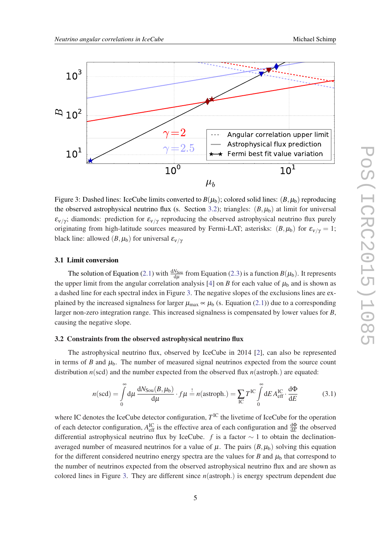<span id="page-4-0"></span>

Figure 3: Dashed lines: IceCube limits converted to  $B(\mu_b)$ ; colored solid lines:  $(B, \mu_b)$  reproducing the observed astrophysical neutrino flux (s. Section 3.2); triangles:  $(B, \mu_b)$  at limit for universal  $\varepsilon_{v/\gamma}$ ; diamonds: prediction for  $\varepsilon_{v/\gamma}$  reproducing the observed astrophysical neutrino flux purely originating from high-latitude sources measured by Fermi-LAT; asterisks:  $(B, \mu_b)$  for  $\varepsilon_{\nu/\gamma} = 1$ ; black line: allowed  $(B, \mu_b)$  for universal  $\varepsilon_{V/\gamma}$ 

#### 3.1 Limit conversion

The solution of Equation [\(2.1\)](#page-2-0) with  $\frac{dN_{Soul}}{d\mu}$  from Equation [\(2.3\)](#page-3-0) is a function  $B(\mu_b)$ . It represents the upper limit from the angular correlation analysis [[4](#page-7-0)] on *B* for each value of  $\mu_b$  and is shown as a dashed line for each spectral index in Figure 3. The negative slopes of the exclusions lines are explained by the increased signalness for larger  $\mu_{\text{max}} \propto \mu_b$  (s. Equation ([2.1\)](#page-2-0)) due to a corresponding larger non-zero integration range. This increased signalness is compensated by lower values for *B*, causing the negative slope.

#### 3.2 Constraints from the observed astrophysical neutrino flux

The astrophysical neutrino flux, observed by IceCube in 2014 [[2](#page-7-0)], can also be represented in terms of *B* and  $\mu_b$ . The number of measured signal neutrinos expected from the source count distribution *n*(scd) and the number expected from the observed flux *n*(astroph.) are equated:

$$
n(\text{scd}) = \int_{0}^{\infty} d\mu \, \frac{dN_{\text{Sou}}(B, \mu_{\text{b}})}{d\mu} \cdot f\mu \stackrel{!}{=} n(\text{astroph.}) = \sum_{\text{IC}} T^{\text{IC}} \int_{0}^{\infty} dE A_{\text{eff}}^{\text{IC}} \cdot \frac{d\Phi}{dE}
$$
(3.1)

where IC denotes the IceCube detector configuration,  $T^{\text{IC}}$  the livetime of IceCube for the operation of each detector configuration,  $A_{\text{eff}}^{\text{IC}}$  is the effective area of each configuration and  $\frac{d\Phi}{dE}$  the observed differential astrophysical neutrino flux by IceCube. *f* is a factor ∼ 1 to obtain the declinationaveraged number of measured neutrinos for a value of  $\mu$ . The pairs  $(B, \mu_b)$  solving this equation for the different considered neutrino energy spectra are the values for *B* and  $\mu_b$  that correspond to the number of neutrinos expected from the observed astrophysical neutrino flux and are shown as colored lines in Figure 3. They are different since *n*(astroph.) is energy spectrum dependent due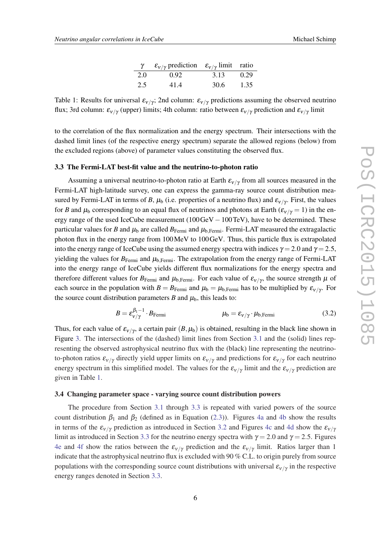|     | $\varepsilon_{\nu/\gamma}$ prediction $\varepsilon_{\nu/\gamma}$ limit ratio |      |      |
|-----|------------------------------------------------------------------------------|------|------|
| 2.0 | 0.92                                                                         | 3.13 | 0.29 |
| 2.5 | 41.4                                                                         | 30.6 | 1.35 |

<span id="page-5-0"></span>Table 1: Results for universal  $\varepsilon_{v/\gamma}$ ; 2nd column:  $\varepsilon_{v/\gamma}$  predictions assuming the observed neutrino flux; 3rd column:  $\varepsilon_{v/\gamma}$  (upper) limits; 4th column: ratio between  $\varepsilon_{v/\gamma}$  prediction and  $\varepsilon_{v/\gamma}$  limit

to the correlation of the flux normalization and the energy spectrum. Their intersections with the dashed limit lines (of the respective energy spectrum) separate the allowed regions (below) from the excluded regions (above) of parameter values constituting the observed flux.

#### 3.3 The Fermi-LAT best-fit value and the neutrino-to-photon ratio

Assuming a universal neutrino-to-photon ratio at Earth  $\varepsilon_{v/\gamma}$  from all sources measured in the Fermi-LAT high-latitude survey, one can express the gamma-ray source count distribution measured by Fermi-LAT in terms of *B*,  $\mu_b$  (i.e. properties of a neutrino flux) and  $\varepsilon_{v/\gamma}$ . First, the values for *B* and  $\mu_b$  corresponding to an equal flux of neutrinos and photons at Earth ( $\varepsilon_{v/\gamma} = 1$ ) in the energy range of the used IceCube measurement  $(100 \text{GeV} - 100 \text{TeV})$ , have to be determined. These particular values for *B* and  $\mu_b$  are called  $B_{\text{Fermi}}$  and  $\mu_b$ , Fermi-LAT measured the extragalactic photon flux in the energy range from 100MeV to 100GeV. Thus, this particle flux is extrapolated into the energy range of IceCube using the assumed energy spectra with indices  $\gamma = 2.0$  and  $\gamma = 2.5$ , yielding the values for  $B_{\text{Fermi}}$  and  $\mu_{\text{b,Fermi}}$ . The extrapolation from the energy range of Fermi-LAT into the energy range of IceCube yields different flux normalizations for the energy spectra and therefore different values for  $B_{\rm Fermi}$  and  $\mu_{b,\rm Fermi}$ . For each value of  $\varepsilon_{v/\gamma}$ , the source strength  $\mu$  of each source in the population with  $B = B_{\text{Fermi}}$  and  $\mu_b = \mu_{b,\text{Fermi}}$  has to be multiplied by  $\varepsilon_{v/\gamma}$ . For the source count distribution parameters *B* and  $\mu_b$ , this leads to:

$$
B = \varepsilon_{\nu/\gamma}^{\beta_1 - 1} \cdot B_{\text{Fermi}} \qquad \mu_b = \varepsilon_{\nu/\gamma} \cdot \mu_{b, \text{Fermi}} \qquad (3.2)
$$

Thus, for each value of  $\varepsilon_{v/\gamma}$ , a certain pair  $(B, \mu_b)$  is obtained, resulting in the black line shown in Figure [3.](#page-4-0) The intersections of the (dashed) limit lines from Section [3.1](#page-4-0) and the (solid) lines representing the observed astrophysical neutrino flux with the (black) line representing the neutrinoto-photon ratios  $\varepsilon_{v/\gamma}$  directly yield upper limits on  $\varepsilon_{v/\gamma}$  and predictions for  $\varepsilon_{v/\gamma}$  for each neutrino energy spectrum in this simplified model. The values for the  $\varepsilon_{v/\gamma}$  limit and the  $\varepsilon_{v/\gamma}$  prediction are given in Table 1.

### 3.4 Changing parameter space - varying source count distribution powers

The procedure from Section [3.1](#page-4-0) through 3.3 is repeated with varied powers of the source count distribution  $\beta_1$  and  $\beta_2$  (defined as in Equation ([2.3](#page-3-0))). Figures [4a](#page-6-0) and [4b](#page-6-0) show the results in terms of the  $\varepsilon_{V/\gamma}$  prediction as introduced in Section [3.2](#page-4-0) and Figures [4c](#page-6-0) and [4d](#page-6-0) show the  $\varepsilon_{V/\gamma}$ limit as introduced in Section 3.3 for the neutrino energy spectra with  $\gamma = 2.0$  and  $\gamma = 2.5$ . Figures [4e](#page-6-0) and [4f](#page-6-0) show the ratios between the  $\varepsilon_{v/\gamma}$  prediction and the  $\varepsilon_{v/\gamma}$  limit. Ratios larger than 1 indicate that the astrophysical neutrino flux is excluded with 90 % C.L. to origin purely from source populations with the corresponding source count distributions with universal  $\varepsilon_{v/\gamma}$  in the respective energy ranges denoted in Section 3.3.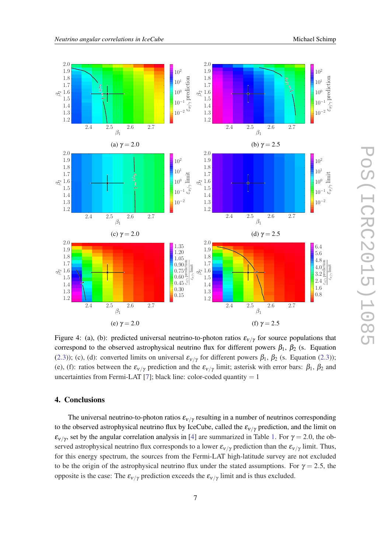

<span id="page-6-0"></span>

Figure 4: (a), (b): predicted universal neutrino-to-photon ratios  $\varepsilon_{V/\gamma}$  for source populations that correspond to the observed astrophysical neutrino flux for different powers  $\beta_1$ ,  $\beta_2$  (s. Equation ([2.3\)](#page-3-0)); (c), (d): converted limits on universal  $\varepsilon_{v/\gamma}$  for different powers  $\beta_1$ ,  $\beta_2$  (s. Equation [\(2.3\)](#page-3-0)); (e), (f): ratios between the  $\varepsilon_{v/\gamma}$  prediction and the  $\varepsilon_{v/\gamma}$  limit; asterisk with error bars:  $\beta_1$ ,  $\beta_2$  and uncertainties from Fermi-LAT [[7](#page-7-0)]; black line: color-coded quantity  $= 1$ 

# 4. Conclusions

The universal neutrino-to-photon ratios  $\varepsilon_{v/\gamma}$  resulting in a number of neutrinos corresponding to the observed astrophysical neutrino flux by IceCube, called the  $\varepsilon_{V/\gamma}$  prediction, and the limit on  $\varepsilon_{v/\gamma}$ , set by the angular correlation analysis in [[4](#page-7-0)] are summarized in Table [1](#page-5-0). For  $\gamma = 2.0$ , the observed astrophysical neutrino flux corresponds to a lower  $\varepsilon_{v/\gamma}$  prediction than the  $\varepsilon_{v/\gamma}$  limit. Thus, for this energy spectrum, the sources from the Fermi-LAT high-latitude survey are not excluded to be the origin of the astrophysical neutrino flux under the stated assumptions. For  $\gamma = 2.5$ , the opposite is the case: The  $\varepsilon_{v/\gamma}$  prediction exceeds the  $\varepsilon_{v/\gamma}$  limit and is thus excluded.